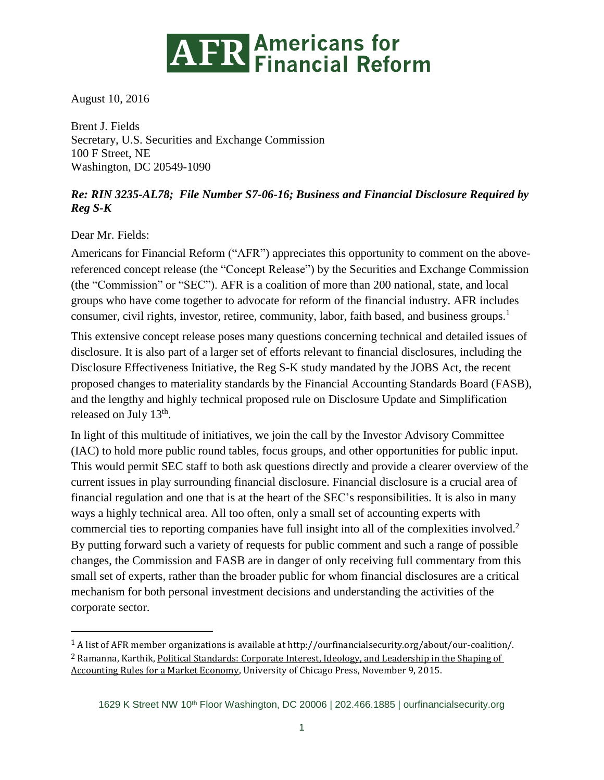

August 10, 2016

Brent J. Fields Secretary, U.S. Securities and Exchange Commission 100 F Street, NE Washington, DC 20549-1090

## *Re: RIN 3235-AL78; File Number S7-06-16; Business and Financial Disclosure Required by Reg S-K*

Dear Mr. Fields:

 $\overline{a}$ 

Americans for Financial Reform ("AFR") appreciates this opportunity to comment on the abovereferenced concept release (the "Concept Release") by the Securities and Exchange Commission (the "Commission" or "SEC"). AFR is a coalition of more than 200 national, state, and local groups who have come together to advocate for reform of the financial industry. AFR includes consumer, civil rights, investor, retiree, community, labor, faith based, and business groups.<sup>1</sup>

This extensive concept release poses many questions concerning technical and detailed issues of disclosure. It is also part of a larger set of efforts relevant to financial disclosures, including the Disclosure Effectiveness Initiative, the Reg S-K study mandated by the JOBS Act, the recent proposed changes to materiality standards by the Financial Accounting Standards Board (FASB), and the lengthy and highly technical proposed rule on Disclosure Update and Simplification released on July 13<sup>th</sup>.

In light of this multitude of initiatives, we join the call by the Investor Advisory Committee (IAC) to hold more public round tables, focus groups, and other opportunities for public input. This would permit SEC staff to both ask questions directly and provide a clearer overview of the current issues in play surrounding financial disclosure. Financial disclosure is a crucial area of financial regulation and one that is at the heart of the SEC's responsibilities. It is also in many ways a highly technical area. All too often, only a small set of accounting experts with commercial ties to reporting companies have full insight into all of the complexities involved.<sup>2</sup> By putting forward such a variety of requests for public comment and such a range of possible changes, the Commission and FASB are in danger of only receiving full commentary from this small set of experts, rather than the broader public for whom financial disclosures are a critical mechanism for both personal investment decisions and understanding the activities of the corporate sector.

<sup>1</sup> A list of AFR member organizations is available at http://ourfinancialsecurity.org/about/our-coalition/. 2 Ramanna, Karthik, Political Standards: Corporate Interest, Ideology, and Leadership in the Shaping of Accounting Rules for a Market Economy, University of Chicago Press, November 9, 2015.

<sup>1629</sup> K Street NW 10<sup>th</sup> Floor Washington, DC 20006 | 202.466.1885 | [ourfinancialsecurity.org](file:///C:/Users/EKilroy/Downloads/ourfinancialsecurity.org)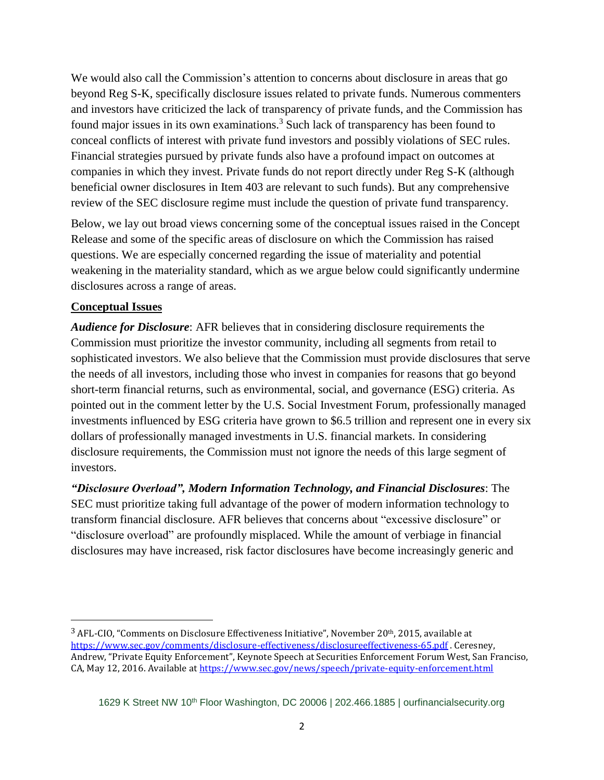We would also call the Commission's attention to concerns about disclosure in areas that go beyond Reg S-K, specifically disclosure issues related to private funds. Numerous commenters and investors have criticized the lack of transparency of private funds, and the Commission has found major issues in its own examinations.<sup>3</sup> Such lack of transparency has been found to conceal conflicts of interest with private fund investors and possibly violations of SEC rules. Financial strategies pursued by private funds also have a profound impact on outcomes at companies in which they invest. Private funds do not report directly under Reg S-K (although beneficial owner disclosures in Item 403 are relevant to such funds). But any comprehensive review of the SEC disclosure regime must include the question of private fund transparency.

Below, we lay out broad views concerning some of the conceptual issues raised in the Concept Release and some of the specific areas of disclosure on which the Commission has raised questions. We are especially concerned regarding the issue of materiality and potential weakening in the materiality standard, which as we argue below could significantly undermine disclosures across a range of areas.

## **Conceptual Issues**

l

*Audience for Disclosure*: AFR believes that in considering disclosure requirements the Commission must prioritize the investor community, including all segments from retail to sophisticated investors. We also believe that the Commission must provide disclosures that serve the needs of all investors, including those who invest in companies for reasons that go beyond short-term financial returns, such as environmental, social, and governance (ESG) criteria. As pointed out in the comment letter by the U.S. Social Investment Forum, professionally managed investments influenced by ESG criteria have grown to \$6.5 trillion and represent one in every six dollars of professionally managed investments in U.S. financial markets. In considering disclosure requirements, the Commission must not ignore the needs of this large segment of investors.

*"Disclosure Overload", Modern Information Technology, and Financial Disclosures*: The SEC must prioritize taking full advantage of the power of modern information technology to transform financial disclosure. AFR believes that concerns about "excessive disclosure" or "disclosure overload" are profoundly misplaced. While the amount of verbiage in financial disclosures may have increased, risk factor disclosures have become increasingly generic and

<sup>3</sup> AFL-CIO, "Comments on Disclosure Effectiveness Initiative", November 20th, 2015, available at <https://www.sec.gov/comments/disclosure-effectiveness/disclosureeffectiveness-65.pdf> . Ceresney, Andrew, "Private Equity Enforcement", Keynote Speech at Securities Enforcement Forum West, San Franciso, CA, May 12, 2016. Available a[t https://www.sec.gov/news/speech/private-equity-enforcement.html](https://www.sec.gov/news/speech/private-equity-enforcement.html)

<sup>1629</sup> K Street NW 10<sup>th</sup> Floor Washington, DC 20006 | 202.466.1885 | [ourfinancialsecurity.org](file:///C:/Users/EKilroy/Downloads/ourfinancialsecurity.org)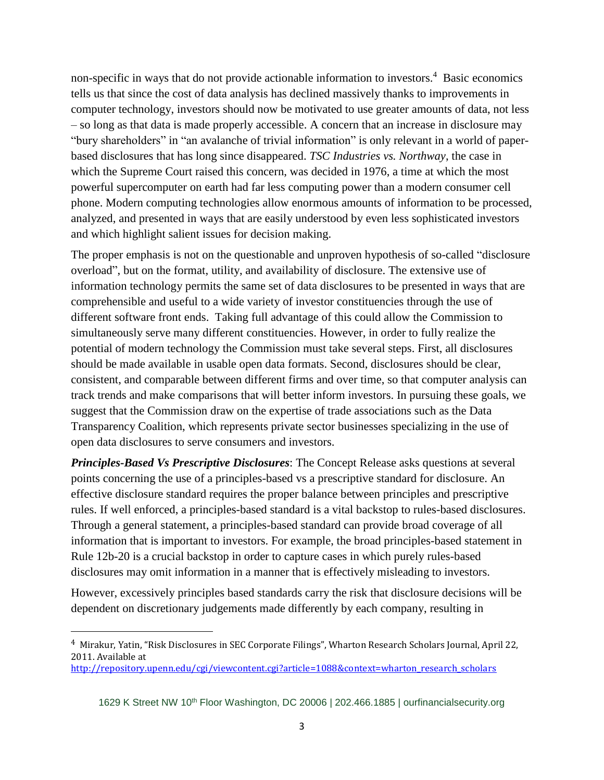non-specific in ways that do not provide actionable information to investors.<sup>4</sup> Basic economics tells us that since the cost of data analysis has declined massively thanks to improvements in computer technology, investors should now be motivated to use greater amounts of data, not less – so long as that data is made properly accessible. A concern that an increase in disclosure may "bury shareholders" in "an avalanche of trivial information" is only relevant in a world of paperbased disclosures that has long since disappeared. *TSC Industries vs. Northway*, the case in which the Supreme Court raised this concern, was decided in 1976, a time at which the most powerful supercomputer on earth had far less computing power than a modern consumer cell phone. Modern computing technologies allow enormous amounts of information to be processed, analyzed, and presented in ways that are easily understood by even less sophisticated investors and which highlight salient issues for decision making.

The proper emphasis is not on the questionable and unproven hypothesis of so-called "disclosure overload", but on the format, utility, and availability of disclosure. The extensive use of information technology permits the same set of data disclosures to be presented in ways that are comprehensible and useful to a wide variety of investor constituencies through the use of different software front ends. Taking full advantage of this could allow the Commission to simultaneously serve many different constituencies. However, in order to fully realize the potential of modern technology the Commission must take several steps. First, all disclosures should be made available in usable open data formats. Second, disclosures should be clear, consistent, and comparable between different firms and over time, so that computer analysis can track trends and make comparisons that will better inform investors. In pursuing these goals, we suggest that the Commission draw on the expertise of trade associations such as the Data Transparency Coalition, which represents private sector businesses specializing in the use of open data disclosures to serve consumers and investors.

*Principles-Based Vs Prescriptive Disclosures*: The Concept Release asks questions at several points concerning the use of a principles-based vs a prescriptive standard for disclosure. An effective disclosure standard requires the proper balance between principles and prescriptive rules. If well enforced, a principles-based standard is a vital backstop to rules-based disclosures. Through a general statement, a principles-based standard can provide broad coverage of all information that is important to investors. For example, the broad principles-based statement in Rule 12b-20 is a crucial backstop in order to capture cases in which purely rules-based disclosures may omit information in a manner that is effectively misleading to investors.

However, excessively principles based standards carry the risk that disclosure decisions will be dependent on discretionary judgements made differently by each company, resulting in

 $\overline{\phantom{a}}$ 

<sup>4</sup> Mirakur, Yatin, "Risk Disclosures in SEC Corporate Filings", Wharton Research Scholars Journal, April 22, 2011. Available at

http://repository.upenn.edu/cgi/viewcontent.cgi?article=1088&context=wharton\_research\_scholars

<sup>1629</sup> K Street NW 10<sup>th</sup> Floor Washington, DC 20006 | 202.466.1885 | [ourfinancialsecurity.org](file:///C:/Users/EKilroy/Downloads/ourfinancialsecurity.org)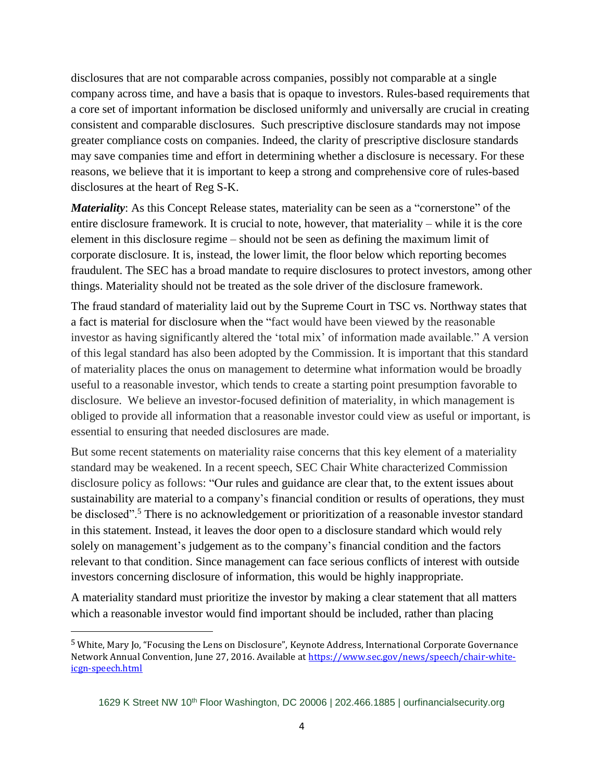disclosures that are not comparable across companies, possibly not comparable at a single company across time, and have a basis that is opaque to investors. Rules-based requirements that a core set of important information be disclosed uniformly and universally are crucial in creating consistent and comparable disclosures. Such prescriptive disclosure standards may not impose greater compliance costs on companies. Indeed, the clarity of prescriptive disclosure standards may save companies time and effort in determining whether a disclosure is necessary. For these reasons, we believe that it is important to keep a strong and comprehensive core of rules-based disclosures at the heart of Reg S-K.

*Materiality*: As this Concept Release states, materiality can be seen as a "cornerstone" of the entire disclosure framework. It is crucial to note, however, that materiality – while it is the core element in this disclosure regime – should not be seen as defining the maximum limit of corporate disclosure. It is, instead, the lower limit, the floor below which reporting becomes fraudulent. The SEC has a broad mandate to require disclosures to protect investors, among other things. Materiality should not be treated as the sole driver of the disclosure framework.

The fraud standard of materiality laid out by the Supreme Court in TSC vs. Northway states that a fact is material for disclosure when the "fact would have been viewed by the reasonable investor as having significantly altered the 'total mix' of information made available." A version of this legal standard has also been adopted by the Commission. It is important that this standard of materiality places the onus on management to determine what information would be broadly useful to a reasonable investor, which tends to create a starting point presumption favorable to disclosure. We believe an investor-focused definition of materiality, in which management is obliged to provide all information that a reasonable investor could view as useful or important, is essential to ensuring that needed disclosures are made.

But some recent statements on materiality raise concerns that this key element of a materiality standard may be weakened. In a recent speech, SEC Chair White characterized Commission disclosure policy as follows: "Our rules and guidance are clear that, to the extent issues about sustainability are material to a company's financial condition or results of operations, they must be disclosed".<sup>5</sup> There is no acknowledgement or prioritization of a reasonable investor standard in this statement. Instead, it leaves the door open to a disclosure standard which would rely solely on management's judgement as to the company's financial condition and the factors relevant to that condition. Since management can face serious conflicts of interest with outside investors concerning disclosure of information, this would be highly inappropriate.

A materiality standard must prioritize the investor by making a clear statement that all matters which a reasonable investor would find important should be included, rather than placing

 $\overline{\phantom{a}}$ 

<sup>5</sup> White, Mary Jo, "Focusing the Lens on Disclosure", Keynote Address, International Corporate Governance Network Annual Convention, June 27, 2016. Available at [https://www.sec.gov/news/speech/chair-white](https://www.sec.gov/news/speech/chair-white-icgn-speech.html)[icgn-speech.html](https://www.sec.gov/news/speech/chair-white-icgn-speech.html)

<sup>1629</sup> K Street NW 10<sup>th</sup> Floor Washington, DC 20006 | 202.466.1885 | [ourfinancialsecurity.org](file:///C:/Users/EKilroy/Downloads/ourfinancialsecurity.org)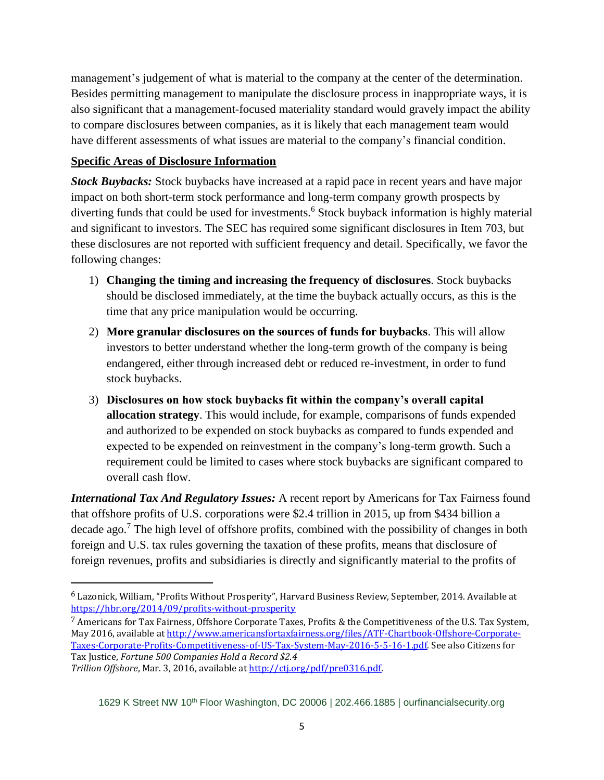management's judgement of what is material to the company at the center of the determination. Besides permitting management to manipulate the disclosure process in inappropriate ways, it is also significant that a management-focused materiality standard would gravely impact the ability to compare disclosures between companies, as it is likely that each management team would have different assessments of what issues are material to the company's financial condition.

## **Specific Areas of Disclosure Information**

*Stock Buybacks:* Stock buybacks have increased at a rapid pace in recent years and have major impact on both short-term stock performance and long-term company growth prospects by diverting funds that could be used for investments.<sup>6</sup> Stock buyback information is highly material and significant to investors. The SEC has required some significant disclosures in Item 703, but these disclosures are not reported with sufficient frequency and detail. Specifically, we favor the following changes:

- 1) **Changing the timing and increasing the frequency of disclosures**. Stock buybacks should be disclosed immediately, at the time the buyback actually occurs, as this is the time that any price manipulation would be occurring.
- 2) **More granular disclosures on the sources of funds for buybacks**. This will allow investors to better understand whether the long-term growth of the company is being endangered, either through increased debt or reduced re-investment, in order to fund stock buybacks.
- 3) **Disclosures on how stock buybacks fit within the company's overall capital allocation strategy**. This would include, for example, comparisons of funds expended and authorized to be expended on stock buybacks as compared to funds expended and expected to be expended on reinvestment in the company's long-term growth. Such a requirement could be limited to cases where stock buybacks are significant compared to overall cash flow.

*International Tax And Regulatory Issues:* A recent report by Americans for Tax Fairness found that offshore profits of U.S. corporations were \$2.4 trillion in 2015, up from \$434 billion a decade ago.<sup>7</sup> The high level of offshore profits, combined with the possibility of changes in both foreign and U.S. tax rules governing the taxation of these profits, means that disclosure of foreign revenues, profits and subsidiaries is directly and significantly material to the profits of

 $\overline{a}$ 

<sup>6</sup> Lazonick, William, "Profits Without Prosperity", Harvard Business Review, September, 2014. Available at <https://hbr.org/2014/09/profits-without-prosperity>

<sup>7</sup> Americans for Tax Fairness, Offshore Corporate Taxes, Profits & the Competitiveness of the U.S. Tax System, May 2016, available a[t http://www.americansfortaxfairness.org/files/ATF-Chartbook-Offshore-Corporate-](http://www.americansfortaxfairness.org/files/ATF-Chartbook-Offshore-Corporate-Taxes-Corporate-Profits-Competitiveness-of-US-Tax-System-May-2016-5-5-16-1.pdf)[Taxes-Corporate-Profits-Competitiveness-of-US-Tax-System-May-2016-5-5-16-1.pdf.](http://www.americansfortaxfairness.org/files/ATF-Chartbook-Offshore-Corporate-Taxes-Corporate-Profits-Competitiveness-of-US-Tax-System-May-2016-5-5-16-1.pdf) See also Citizens for Tax Justice, *Fortune 500 Companies Hold a Record \$2.4*

*Trillion Offshore*, Mar. 3, 2016, available at [http://ctj.org/pdf/pre0316.pdf.](http://ctj.org/pdf/pre0316.pdf)

<sup>1629</sup> K Street NW 10<sup>th</sup> Floor Washington, DC 20006 | 202.466.1885 | [ourfinancialsecurity.org](file:///C:/Users/EKilroy/Downloads/ourfinancialsecurity.org)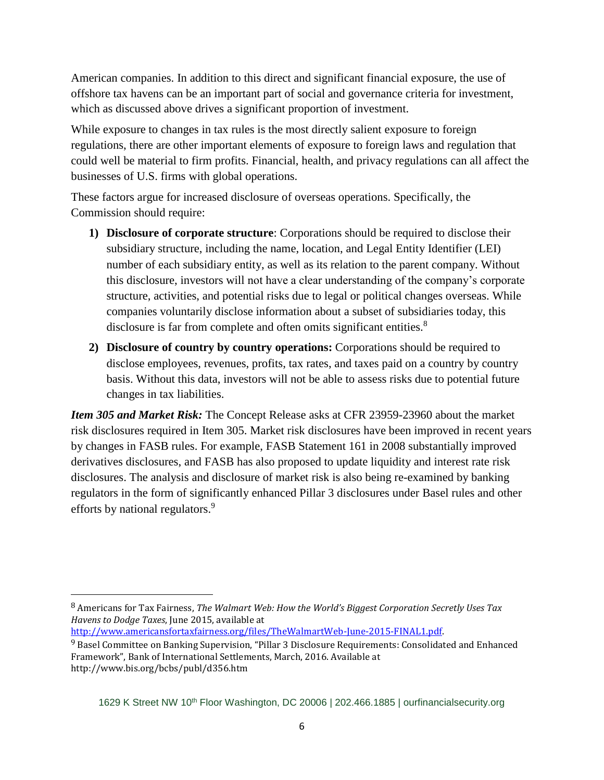American companies. In addition to this direct and significant financial exposure, the use of offshore tax havens can be an important part of social and governance criteria for investment, which as discussed above drives a significant proportion of investment.

While exposure to changes in tax rules is the most directly salient exposure to foreign regulations, there are other important elements of exposure to foreign laws and regulation that could well be material to firm profits. Financial, health, and privacy regulations can all affect the businesses of U.S. firms with global operations.

These factors argue for increased disclosure of overseas operations. Specifically, the Commission should require:

- **1) Disclosure of corporate structure**: Corporations should be required to disclose their subsidiary structure, including the name, location, and Legal Entity Identifier (LEI) number of each subsidiary entity, as well as its relation to the parent company. Without this disclosure, investors will not have a clear understanding of the company's corporate structure, activities, and potential risks due to legal or political changes overseas. While companies voluntarily disclose information about a subset of subsidiaries today, this disclosure is far from complete and often omits significant entities.<sup>8</sup>
- **2) Disclosure of country by country operations:** Corporations should be required to disclose employees, revenues, profits, tax rates, and taxes paid on a country by country basis. Without this data, investors will not be able to assess risks due to potential future changes in tax liabilities.

*Item 305 and Market Risk:* The Concept Release asks at CFR 23959-23960 about the market risk disclosures required in Item 305. Market risk disclosures have been improved in recent years by changes in FASB rules. For example, FASB Statement 161 in 2008 substantially improved derivatives disclosures, and FASB has also proposed to update liquidity and interest rate risk disclosures. The analysis and disclosure of market risk is also being re-examined by banking regulators in the form of significantly enhanced Pillar 3 disclosures under Basel rules and other efforts by national regulators.<sup>9</sup>

[http://www.americansfortaxfairness.org/files/TheWalmartWeb-June-2015-FINAL1.pdf.](http://www.americansfortaxfairness.org/files/TheWalmartWeb-June-2015-FINAL1.pdf) 

 $\overline{\phantom{a}}$ 

<sup>8</sup> Americans for Tax Fairness, *The Walmart Web: How the World's Biggest Corporation Secretly Uses Tax Havens to Dodge Taxes*, June 2015, available at

<sup>9</sup> Basel Committee on Banking Supervision, "Pillar 3 Disclosure Requirements: Consolidated and Enhanced Framework", Bank of International Settlements, March, 2016. Available at http://www.bis.org/bcbs/publ/d356.htm

<sup>1629</sup> K Street NW 10<sup>th</sup> Floor Washington, DC 20006 | 202.466.1885 | [ourfinancialsecurity.org](file:///C:/Users/EKilroy/Downloads/ourfinancialsecurity.org)